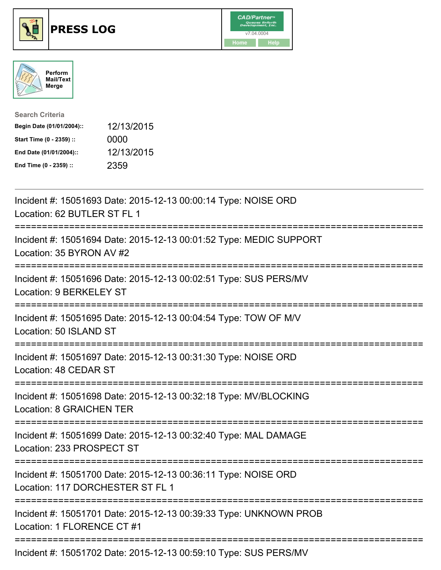





| <b>Search Criteria</b>    |            |
|---------------------------|------------|
| Begin Date (01/01/2004):: | 12/13/2015 |
| Start Time (0 - 2359) ::  | 0000       |
| End Date (01/01/2004)::   | 12/13/2015 |
| End Time (0 - 2359) ::    | 2359       |

| Incident #: 15051693 Date: 2015-12-13 00:00:14 Type: NOISE ORD<br>Location: 62 BUTLER ST FL 1                                                             |
|-----------------------------------------------------------------------------------------------------------------------------------------------------------|
| Incident #: 15051694 Date: 2015-12-13 00:01:52 Type: MEDIC SUPPORT<br>Location: 35 BYRON AV #2                                                            |
| Incident #: 15051696 Date: 2015-12-13 00:02:51 Type: SUS PERS/MV<br>Location: 9 BERKELEY ST<br>:==========================<br>=========================== |
| Incident #: 15051695 Date: 2015-12-13 00:04:54 Type: TOW OF M/V<br>Location: 50 ISLAND ST<br>=======================                                      |
| Incident #: 15051697 Date: 2015-12-13 00:31:30 Type: NOISE ORD<br>Location: 48 CEDAR ST                                                                   |
| Incident #: 15051698 Date: 2015-12-13 00:32:18 Type: MV/BLOCKING<br><b>Location: 8 GRAICHEN TER</b>                                                       |
| Incident #: 15051699 Date: 2015-12-13 00:32:40 Type: MAL DAMAGE<br>Location: 233 PROSPECT ST                                                              |
| Incident #: 15051700 Date: 2015-12-13 00:36:11 Type: NOISE ORD<br>Location: 117 DORCHESTER ST FL 1                                                        |
| Incident #: 15051701 Date: 2015-12-13 00:39:33 Type: UNKNOWN PROB<br>Location: 1 FLORENCE CT #1                                                           |
| Incident #: 15051702 Date: 2015-12-13 00:59:10 Type: SUS PERS/MV                                                                                          |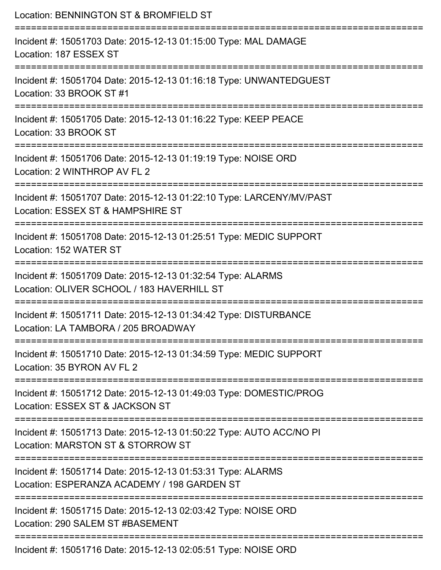| Location: BENNINGTON ST & BROMFIELD ST                                                                     |
|------------------------------------------------------------------------------------------------------------|
| Incident #: 15051703 Date: 2015-12-13 01:15:00 Type: MAL DAMAGE<br>Location: 187 ESSEX ST                  |
| Incident #: 15051704 Date: 2015-12-13 01:16:18 Type: UNWANTEDGUEST<br>Location: 33 BROOK ST #1             |
| Incident #: 15051705 Date: 2015-12-13 01:16:22 Type: KEEP PEACE<br>Location: 33 BROOK ST                   |
| Incident #: 15051706 Date: 2015-12-13 01:19:19 Type: NOISE ORD<br>Location: 2 WINTHROP AV FL 2             |
| Incident #: 15051707 Date: 2015-12-13 01:22:10 Type: LARCENY/MV/PAST<br>Location: ESSEX ST & HAMPSHIRE ST  |
| Incident #: 15051708 Date: 2015-12-13 01:25:51 Type: MEDIC SUPPORT<br>Location: 152 WATER ST               |
| Incident #: 15051709 Date: 2015-12-13 01:32:54 Type: ALARMS<br>Location: OLIVER SCHOOL / 183 HAVERHILL ST  |
| Incident #: 15051711 Date: 2015-12-13 01:34:42 Type: DISTURBANCE<br>Location: LA TAMBORA / 205 BROADWAY    |
| Incident #: 15051710 Date: 2015-12-13 01:34:59 Type: MEDIC SUPPORT<br>Location: 35 BYRON AV FL 2           |
| Incident #: 15051712 Date: 2015-12-13 01:49:03 Type: DOMESTIC/PROG<br>Location: ESSEX ST & JACKSON ST      |
| Incident #: 15051713 Date: 2015-12-13 01:50:22 Type: AUTO ACC/NO PI<br>Location: MARSTON ST & STORROW ST   |
| Incident #: 15051714 Date: 2015-12-13 01:53:31 Type: ALARMS<br>Location: ESPERANZA ACADEMY / 198 GARDEN ST |
| Incident #: 15051715 Date: 2015-12-13 02:03:42 Type: NOISE ORD<br>Location: 290 SALEM ST #BASEMENT         |
| Incident #: 15051716 Date: 2015-12-13 02:05:51 Type: NOISE ORD                                             |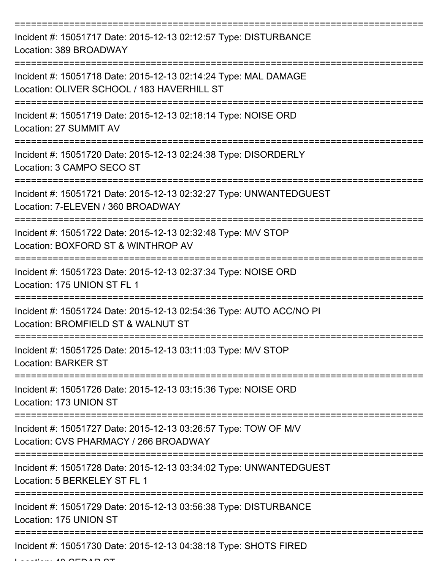| Incident #: 15051717 Date: 2015-12-13 02:12:57 Type: DISTURBANCE<br>Location: 389 BROADWAY                    |
|---------------------------------------------------------------------------------------------------------------|
| Incident #: 15051718 Date: 2015-12-13 02:14:24 Type: MAL DAMAGE<br>Location: OLIVER SCHOOL / 183 HAVERHILL ST |
| Incident #: 15051719 Date: 2015-12-13 02:18:14 Type: NOISE ORD<br>Location: 27 SUMMIT AV                      |
| Incident #: 15051720 Date: 2015-12-13 02:24:38 Type: DISORDERLY<br>Location: 3 CAMPO SECO ST                  |
| Incident #: 15051721 Date: 2015-12-13 02:32:27 Type: UNWANTEDGUEST<br>Location: 7-ELEVEN / 360 BROADWAY       |
| Incident #: 15051722 Date: 2015-12-13 02:32:48 Type: M/V STOP<br>Location: BOXFORD ST & WINTHROP AV           |
| Incident #: 15051723 Date: 2015-12-13 02:37:34 Type: NOISE ORD<br>Location: 175 UNION ST FL 1                 |
| Incident #: 15051724 Date: 2015-12-13 02:54:36 Type: AUTO ACC/NO PI<br>Location: BROMFIELD ST & WALNUT ST     |
| Incident #: 15051725 Date: 2015-12-13 03:11:03 Type: M/V STOP<br><b>Location: BARKER ST</b>                   |
| Incident #: 15051726 Date: 2015-12-13 03:15:36 Type: NOISE ORD<br>Location: 173 UNION ST                      |
| Incident #: 15051727 Date: 2015-12-13 03:26:57 Type: TOW OF M/V<br>Location: CVS PHARMACY / 266 BROADWAY      |
| Incident #: 15051728 Date: 2015-12-13 03:34:02 Type: UNWANTEDGUEST<br>Location: 5 BERKELEY ST FL 1            |
| Incident #: 15051729 Date: 2015-12-13 03:56:38 Type: DISTURBANCE<br>Location: 175 UNION ST                    |
| Incident #: 15051730 Date: 2015-12-13 04:38:18 Type: SHOTS FIRED                                              |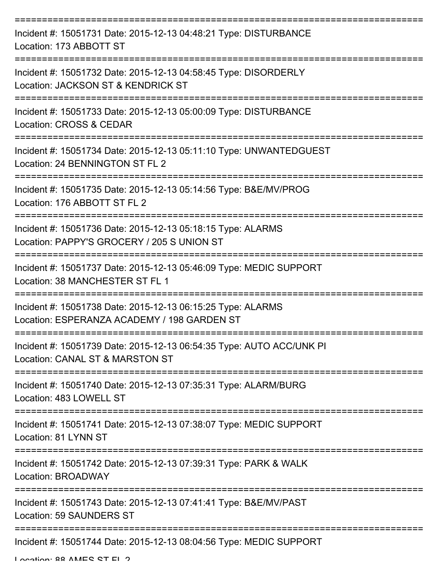| Incident #: 15051731 Date: 2015-12-13 04:48:21 Type: DISTURBANCE<br>Location: 173 ABBOTT ST                |
|------------------------------------------------------------------------------------------------------------|
| Incident #: 15051732 Date: 2015-12-13 04:58:45 Type: DISORDERLY<br>Location: JACKSON ST & KENDRICK ST      |
| Incident #: 15051733 Date: 2015-12-13 05:00:09 Type: DISTURBANCE<br><b>Location: CROSS &amp; CEDAR</b>     |
| Incident #: 15051734 Date: 2015-12-13 05:11:10 Type: UNWANTEDGUEST<br>Location: 24 BENNINGTON ST FL 2      |
| Incident #: 15051735 Date: 2015-12-13 05:14:56 Type: B&E/MV/PROG<br>Location: 176 ABBOTT ST FL 2           |
| Incident #: 15051736 Date: 2015-12-13 05:18:15 Type: ALARMS<br>Location: PAPPY'S GROCERY / 205 S UNION ST  |
| Incident #: 15051737 Date: 2015-12-13 05:46:09 Type: MEDIC SUPPORT<br>Location: 38 MANCHESTER ST FL 1      |
| Incident #: 15051738 Date: 2015-12-13 06:15:25 Type: ALARMS<br>Location: ESPERANZA ACADEMY / 198 GARDEN ST |
| Incident #: 15051739 Date: 2015-12-13 06:54:35 Type: AUTO ACC/UNK PI<br>Location: CANAL ST & MARSTON ST    |
| Incident #: 15051740 Date: 2015-12-13 07:35:31 Type: ALARM/BURG<br>Location: 483 LOWELL ST                 |
| Incident #: 15051741 Date: 2015-12-13 07:38:07 Type: MEDIC SUPPORT<br>Location: 81 LYNN ST                 |
| Incident #: 15051742 Date: 2015-12-13 07:39:31 Type: PARK & WALK<br>Location: BROADWAY                     |
| Incident #: 15051743 Date: 2015-12-13 07:41:41 Type: B&E/MV/PAST<br><b>Location: 59 SAUNDERS ST</b>        |
| Incident #: 15051744 Date: 2015-12-13 08:04:56 Type: MEDIC SUPPORT                                         |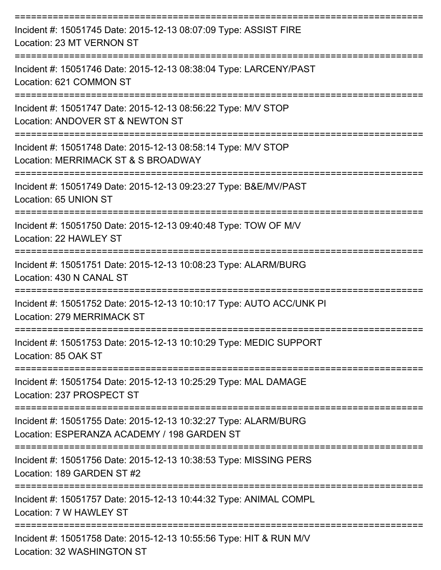| Incident #: 15051745 Date: 2015-12-13 08:07:09 Type: ASSIST FIRE<br>Location: 23 MT VERNON ST                  |
|----------------------------------------------------------------------------------------------------------------|
| Incident #: 15051746 Date: 2015-12-13 08:38:04 Type: LARCENY/PAST<br>Location: 621 COMMON ST                   |
| Incident #: 15051747 Date: 2015-12-13 08:56:22 Type: M/V STOP<br>Location: ANDOVER ST & NEWTON ST              |
| Incident #: 15051748 Date: 2015-12-13 08:58:14 Type: M/V STOP<br>Location: MERRIMACK ST & S BROADWAY           |
| Incident #: 15051749 Date: 2015-12-13 09:23:27 Type: B&E/MV/PAST<br>Location: 65 UNION ST                      |
| Incident #: 15051750 Date: 2015-12-13 09:40:48 Type: TOW OF M/V<br>Location: 22 HAWLEY ST                      |
| Incident #: 15051751 Date: 2015-12-13 10:08:23 Type: ALARM/BURG<br>Location: 430 N CANAL ST                    |
| Incident #: 15051752 Date: 2015-12-13 10:10:17 Type: AUTO ACC/UNK PI<br>Location: 279 MERRIMACK ST             |
| Incident #: 15051753 Date: 2015-12-13 10:10:29 Type: MEDIC SUPPORT<br>Location: 85 OAK ST                      |
| Incident #: 15051754 Date: 2015-12-13 10:25:29 Type: MAL DAMAGE<br>Location: 237 PROSPECT ST                   |
| Incident #: 15051755 Date: 2015-12-13 10:32:27 Type: ALARM/BURG<br>Location: ESPERANZA ACADEMY / 198 GARDEN ST |
| Incident #: 15051756 Date: 2015-12-13 10:38:53 Type: MISSING PERS<br>Location: 189 GARDEN ST #2                |
| Incident #: 15051757 Date: 2015-12-13 10:44:32 Type: ANIMAL COMPL<br>Location: 7 W HAWLEY ST                   |
| Incident #: 15051758 Date: 2015-12-13 10:55:56 Type: HIT & RUN M/V<br>Location: 32 WASHINGTON ST               |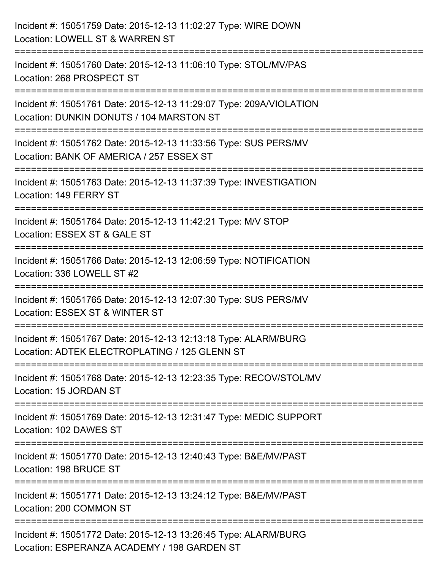| Incident #: 15051759 Date: 2015-12-13 11:02:27 Type: WIRE DOWN<br>Location: LOWELL ST & WARREN ST                                                    |
|------------------------------------------------------------------------------------------------------------------------------------------------------|
| Incident #: 15051760 Date: 2015-12-13 11:06:10 Type: STOL/MV/PAS<br>Location: 268 PROSPECT ST                                                        |
| Incident #: 15051761 Date: 2015-12-13 11:29:07 Type: 209A/VIOLATION<br>Location: DUNKIN DONUTS / 104 MARSTON ST<br>================================= |
| Incident #: 15051762 Date: 2015-12-13 11:33:56 Type: SUS PERS/MV<br>Location: BANK OF AMERICA / 257 ESSEX ST                                         |
| Incident #: 15051763 Date: 2015-12-13 11:37:39 Type: INVESTIGATION<br>Location: 149 FERRY ST<br>======================================               |
| =========================<br>Incident #: 15051764 Date: 2015-12-13 11:42:21 Type: M/V STOP<br>Location: ESSEX ST & GALE ST                           |
| Incident #: 15051766 Date: 2015-12-13 12:06:59 Type: NOTIFICATION<br>Location: 336 LOWELL ST #2                                                      |
| Incident #: 15051765 Date: 2015-12-13 12:07:30 Type: SUS PERS/MV<br>Location: ESSEX ST & WINTER ST                                                   |
| Incident #: 15051767 Date: 2015-12-13 12:13:18 Type: ALARM/BURG<br>Location: ADTEK ELECTROPLATING / 125 GLENN ST                                     |
| Incident #: 15051768 Date: 2015-12-13 12:23:35 Type: RECOV/STOL/MV<br>Location: 15 JORDAN ST                                                         |
| Incident #: 15051769 Date: 2015-12-13 12:31:47 Type: MEDIC SUPPORT<br>Location: 102 DAWES ST                                                         |
| Incident #: 15051770 Date: 2015-12-13 12:40:43 Type: B&E/MV/PAST<br>Location: 198 BRUCE ST                                                           |
| Incident #: 15051771 Date: 2015-12-13 13:24:12 Type: B&E/MV/PAST<br>Location: 200 COMMON ST                                                          |
| Incident #: 15051772 Date: 2015-12-13 13:26:45 Type: ALARM/BURG<br>Location: ESPERANZA ACADEMY / 198 GARDEN ST                                       |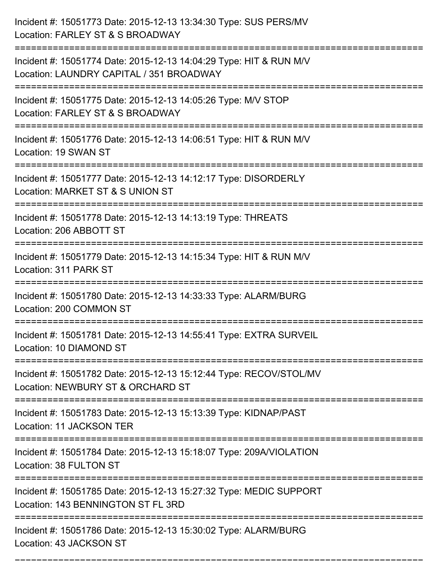| Incident #: 15051773 Date: 2015-12-13 13:34:30 Type: SUS PERS/MV<br>Location: FARLEY ST & S BROADWAY                               |
|------------------------------------------------------------------------------------------------------------------------------------|
| Incident #: 15051774 Date: 2015-12-13 14:04:29 Type: HIT & RUN M/V<br>Location: LAUNDRY CAPITAL / 351 BROADWAY                     |
| Incident #: 15051775 Date: 2015-12-13 14:05:26 Type: M/V STOP<br>Location: FARLEY ST & S BROADWAY<br>======================        |
| Incident #: 15051776 Date: 2015-12-13 14:06:51 Type: HIT & RUN M/V<br>Location: 19 SWAN ST                                         |
| Incident #: 15051777 Date: 2015-12-13 14:12:17 Type: DISORDERLY<br>Location: MARKET ST & S UNION ST<br>.-------------------------- |
| Incident #: 15051778 Date: 2015-12-13 14:13:19 Type: THREATS<br>Location: 206 ABBOTT ST                                            |
| Incident #: 15051779 Date: 2015-12-13 14:15:34 Type: HIT & RUN M/V<br>Location: 311 PARK ST                                        |
| Incident #: 15051780 Date: 2015-12-13 14:33:33 Type: ALARM/BURG<br>Location: 200 COMMON ST                                         |
| Incident #: 15051781 Date: 2015-12-13 14:55:41 Type: EXTRA SURVEIL<br>Location: 10 DIAMOND ST                                      |
| Incident #: 15051782 Date: 2015-12-13 15:12:44 Type: RECOV/STOL/MV<br>Location: NEWBURY ST & ORCHARD ST                            |
| Incident #: 15051783 Date: 2015-12-13 15:13:39 Type: KIDNAP/PAST<br>Location: 11 JACKSON TER                                       |
| Incident #: 15051784 Date: 2015-12-13 15:18:07 Type: 209A/VIOLATION<br>Location: 38 FULTON ST                                      |
| Incident #: 15051785 Date: 2015-12-13 15:27:32 Type: MEDIC SUPPORT<br>Location: 143 BENNINGTON ST FL 3RD                           |
| Incident #: 15051786 Date: 2015-12-13 15:30:02 Type: ALARM/BURG<br>Location: 43 JACKSON ST                                         |

===========================================================================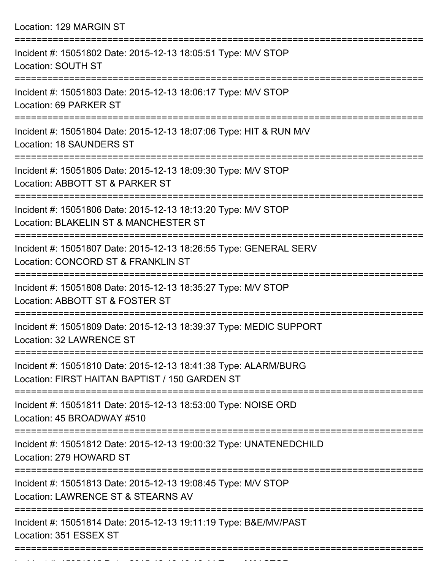Location: 129 MARGIN ST =========================================================================== Incident #: 15051802 Date: 2015-12-13 18:05:51 Type: M/V STOP Location: SOUTH ST =========================================================================== Incident #: 15051803 Date: 2015-12-13 18:06:17 Type: M/V STOP Location: 69 PARKER ST =========================================================================== Incident #: 15051804 Date: 2015-12-13 18:07:06 Type: HIT & RUN M/V Location: 18 SAUNDERS ST =========================================================================== Incident #: 15051805 Date: 2015-12-13 18:09:30 Type: M/V STOP Location: ABBOTT ST & PARKER ST =========================================================================== Incident #: 15051806 Date: 2015-12-13 18:13:20 Type: M/V STOP Location: BLAKELIN ST & MANCHESTER ST =========================================================================== Incident #: 15051807 Date: 2015-12-13 18:26:55 Type: GENERAL SERV Location: CONCORD ST & FRANKLIN ST =========================================================================== Incident #: 15051808 Date: 2015-12-13 18:35:27 Type: M/V STOP Location: ABBOTT ST & FOSTER ST =========================================================================== Incident #: 15051809 Date: 2015-12-13 18:39:37 Type: MEDIC SUPPORT Location: 32 LAWRENCE ST =========================================================================== Incident #: 15051810 Date: 2015-12-13 18:41:38 Type: ALARM/BURG Location: FIRST HAITAN BAPTIST / 150 GARDEN ST =========================================================================== Incident #: 15051811 Date: 2015-12-13 18:53:00 Type: NOISE ORD Location: 45 BROADWAY #510 =========================================================================== Incident #: 15051812 Date: 2015-12-13 19:00:32 Type: UNATENEDCHILD Location: 279 HOWARD ST =========================================================================== Incident #: 15051813 Date: 2015-12-13 19:08:45 Type: M/V STOP Location: LAWRENCE ST & STEARNS AV =========================================================================== Incident #: 15051814 Date: 2015-12-13 19:11:19 Type: B&E/MV/PAST Location: 351 ESSEX ST ===========================================================================

Incident #: 15051815 Date: 2015 12 13 19:16:44 Type: M/V STOP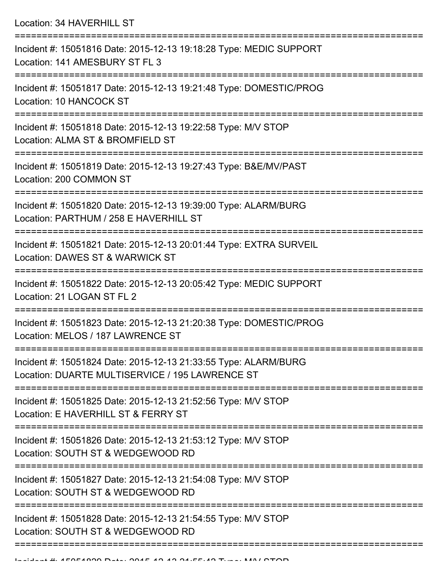Location: 34 HAVERHILL ST

| Incident #: 15051816 Date: 2015-12-13 19:18:28 Type: MEDIC SUPPORT<br>Location: 141 AMESBURY ST FL 3               |
|--------------------------------------------------------------------------------------------------------------------|
| Incident #: 15051817 Date: 2015-12-13 19:21:48 Type: DOMESTIC/PROG<br>Location: 10 HANCOCK ST                      |
| Incident #: 15051818 Date: 2015-12-13 19:22:58 Type: M/V STOP<br>Location: ALMA ST & BROMFIELD ST                  |
| Incident #: 15051819 Date: 2015-12-13 19:27:43 Type: B&E/MV/PAST<br>Location: 200 COMMON ST                        |
| Incident #: 15051820 Date: 2015-12-13 19:39:00 Type: ALARM/BURG<br>Location: PARTHUM / 258 E HAVERHILL ST          |
| Incident #: 15051821 Date: 2015-12-13 20:01:44 Type: EXTRA SURVEIL<br>Location: DAWES ST & WARWICK ST              |
| Incident #: 15051822 Date: 2015-12-13 20:05:42 Type: MEDIC SUPPORT<br>Location: 21 LOGAN ST FL 2                   |
| Incident #: 15051823 Date: 2015-12-13 21:20:38 Type: DOMESTIC/PROG<br>Location: MELOS / 187 LAWRENCE ST            |
| Incident #: 15051824 Date: 2015-12-13 21:33:55 Type: ALARM/BURG<br>Location: DUARTE MULTISERVICE / 195 LAWRENCE ST |
| Incident #: 15051825 Date: 2015-12-13 21:52:56 Type: M/V STOP<br>Location: E HAVERHILL ST & FERRY ST               |
| Incident #: 15051826 Date: 2015-12-13 21:53:12 Type: M/V STOP<br>Location: SOUTH ST & WEDGEWOOD RD                 |
| Incident #: 15051827 Date: 2015-12-13 21:54:08 Type: M/V STOP<br>Location: SOUTH ST & WEDGEWOOD RD                 |
| Incident #: 15051828 Date: 2015-12-13 21:54:55 Type: M/V STOP<br>Location: SOUTH ST & WEDGEWOOD RD                 |
|                                                                                                                    |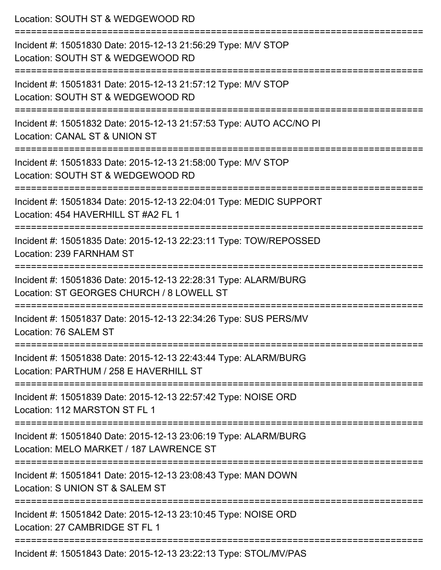| Location: SOUTH ST & WEDGEWOOD RD                                                                                                         |
|-------------------------------------------------------------------------------------------------------------------------------------------|
| Incident #: 15051830 Date: 2015-12-13 21:56:29 Type: M/V STOP<br>Location: SOUTH ST & WEDGEWOOD RD<br>:======================             |
| Incident #: 15051831 Date: 2015-12-13 21:57:12 Type: M/V STOP<br>Location: SOUTH ST & WEDGEWOOD RD                                        |
| Incident #: 15051832 Date: 2015-12-13 21:57:53 Type: AUTO ACC/NO PI<br>Location: CANAL ST & UNION ST                                      |
| Incident #: 15051833 Date: 2015-12-13 21:58:00 Type: M/V STOP<br>Location: SOUTH ST & WEDGEWOOD RD                                        |
| Incident #: 15051834 Date: 2015-12-13 22:04:01 Type: MEDIC SUPPORT<br>Location: 454 HAVERHILL ST #A2 FL 1                                 |
| Incident #: 15051835 Date: 2015-12-13 22:23:11 Type: TOW/REPOSSED<br>Location: 239 FARNHAM ST                                             |
| Incident #: 15051836 Date: 2015-12-13 22:28:31 Type: ALARM/BURG<br>Location: ST GEORGES CHURCH / 8 LOWELL ST<br>------------------------- |
| ===========================<br>Incident #: 15051837 Date: 2015-12-13 22:34:26 Type: SUS PERS/MV<br>Location: 76 SALEM ST                  |
| Incident #: 15051838 Date: 2015-12-13 22:43:44 Type: ALARM/BURG<br>Location: PARTHUM / 258 E HAVERHILL ST                                 |
| Incident #: 15051839 Date: 2015-12-13 22:57:42 Type: NOISE ORD<br>Location: 112 MARSTON ST FL 1                                           |
| Incident #: 15051840 Date: 2015-12-13 23:06:19 Type: ALARM/BURG<br>Location: MELO MARKET / 187 LAWRENCE ST                                |
| Incident #: 15051841 Date: 2015-12-13 23:08:43 Type: MAN DOWN<br>Location: S UNION ST & SALEM ST                                          |
| Incident #: 15051842 Date: 2015-12-13 23:10:45 Type: NOISE ORD<br>Location: 27 CAMBRIDGE ST FL 1                                          |
| Incident #: 15051843 Date: 2015-12-13 23:22:13 Type: STOL/MV/PAS                                                                          |